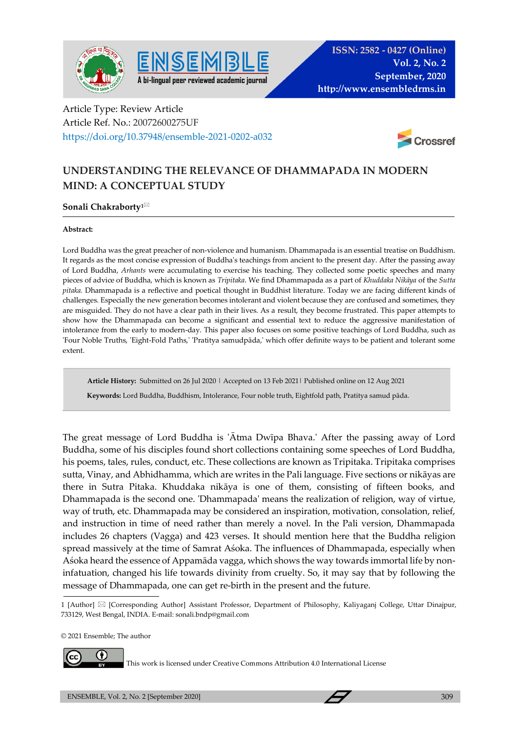



## Article Type: Review Article Article Ref. No.: 20072600275UF https://doi.org/10.37948/ensemble-2021-0202-a032



## **UNDERSTANDING THE RELEVANCE OF DHAMMAPADA IN MODERN MIND: A CONCEPTUAL STUDY**

## **Sonali Chakraborty1**

## **Abstract:**

Lord Buddha was the great preacher of non-violence and humanism. Dhammapada is an essential treatise on Buddhism. It regards as the most concise expression of Buddha's teachings from ancient to the present day. After the passing away of Lord Buddha, *Arhants* were accumulating to exercise his teaching. They collected some poetic speeches and many pieces of advice of Buddha, which is known as *Tripitaka*. We find Dhammapada as a part of *Khuddaka Nikāya* of the *Sutta pitaka.* Dhammapada is a reflective and poetical thought in Buddhist literature. Today we are facing different kinds of challenges. Especially the new generation becomes intolerant and violent because they are confused and sometimes, they are misguided. They do not have a clear path in their lives. As a result, they become frustrated. This paper attempts to show how the Dhammapada can become a significant and essential text to reduce the aggressive manifestation of intolerance from the early to modern-day. This paper also focuses on some positive teachings of Lord Buddha, such as 'Four Noble Truths, 'Eight-Fold Paths,' 'Pratitya samudpāda,' which offer definite ways to be patient and tolerant some extent.

**Article History:** Submitted on 26 Jul 2020 | Accepted on 13 Feb 2021| Published online on 12 Aug 2021  **Keywords:** Lord Buddha, Buddhism, Intolerance, Four noble truth, Eightfold path, Pratitya samud pāda.

The great message of Lord Buddha is 'Ātma Dwīpa Bhava.' After the passing away of Lord Buddha, some of his disciples found short collections containing some speeches of Lord Buddha, his poems, tales, rules, conduct, etc. These collections are known as Tripitaka. Tripitaka comprises sutta, Vinay, and Abhidhamma, which are writes in the Pali language. Five sections or nikāyas are there in Sutra Pitaka. Khuddaka nikāya is one of them, consisting of fifteen books, and Dhammapada is the second one. 'Dhammapada' means the realization of religion, way of virtue, way of truth, etc. Dhammapada may be considered an inspiration, motivation, consolation, relief, and instruction in time of need rather than merely a novel. In the Pali version, Dhammapada includes 26 chapters (Vagga) and 423 verses. It should mention here that the Buddha religion spread massively at the time of Samrat Aśoka. The influences of Dhammapada, especially when Aśoka heard the essence of Appamāda vagga, which shows the way towards immortal life by noninfatuation, changed his life towards divinity from cruelty. So, it may say that by following the message of Dhammapada, one can get re-birth in the present and the future.

© 2021 Ensemble; The author



This work is licensed under Creative Commons Attribution 4.0 International License

<sup>1 [</sup>Author] [Corresponding Author] Assistant Professor, Department of Philosophy, Kaliyaganj College, Uttar Dinajpur, 733129, West Bengal, INDIA. E-mail: sonali.bndp@gmail.com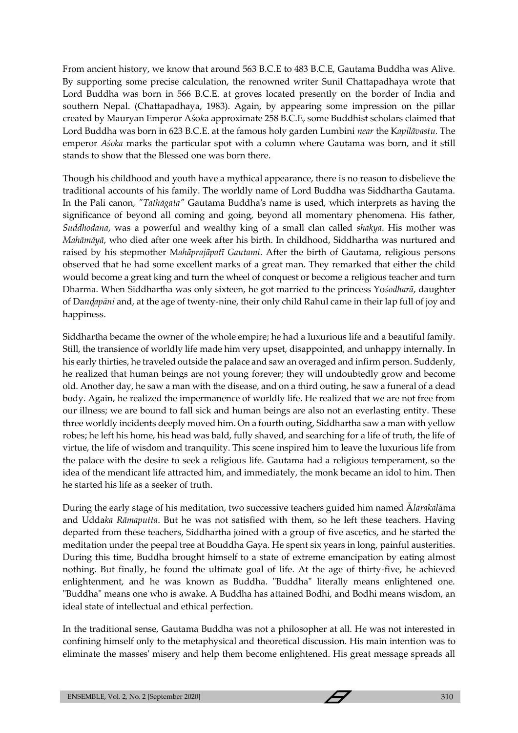From ancient history, we know that around 563 B.C.E to 483 B.C.E, Gautama Buddha was Alive. By supporting some precise calculation, the renowned writer Sunil Chattapadhaya wrote that Lord Buddha was born in 566 B.C.E. at groves located presently on the border of India and southern Nepal. (Chattapadhaya, 1983). Again, by appearing some impression on the pillar created by Mauryan Emperor Aśo*k*a approximate 258 B.C.E, some Buddhist scholars claimed that Lord Buddha was born in 623 B.C.E. at the famous holy garden Lumbini *near* the K*apilāvastu.* The emperor *Aśoka* marks the particular spot with a column where Gautama was born, and it still stands to show that the Blessed one was born there.

Though his childhood and youth have a mythical appearance, there is no reason to disbelieve the traditional accounts of his family. The worldly name of Lord Buddha was Siddhartha Gautama. In the Pali canon, *"Tathāgata"* Gautama Buddha's name is used, which interprets as having the significance of beyond all coming and going, beyond all momentary phenomena. His father, *Suddhodana*, was a powerful and wealthy king of a small clan called *shākya*. His mother was *Mahāmāyā*, who died after one week after his birth. In childhood, Siddhartha was nurtured and raised by his stepmother M*ahāprajāpatī Gautami*. After the birth of Gautama, religious persons observed that he had some excellent marks of a great man. They remarked that either the child would become a great king and turn the wheel of conquest or become a religious teacher and turn Dharma. When Siddhartha was only sixteen, he got married to the princess Yo*śodharā*, daughter of Da*nḍ̣apāni* and, at the age of twenty-nine, their only child Rahul came in their lap full of joy and happiness.

Siddhartha became the owner of the whole empire; he had a luxurious life and a beautiful family. Still, the transience of worldly life made him very upset, disappointed, and unhappy internally. In his early thirties, he traveled outside the palace and saw an overaged and infirm person. Suddenly, he realized that human beings are not young forever; they will undoubtedly grow and become old. Another day, he saw a man with the disease, and on a third outing, he saw a funeral of a dead body. Again, he realized the impermanence of worldly life. He realized that we are not free from our illness; we are bound to fall sick and human beings are also not an everlasting entity. These three worldly incidents deeply moved him. On a fourth outing, Siddhartha saw a man with yellow robes; he left his home, his head was bald, fully shaved, and searching for a life of truth, the life of virtue, the life of wisdom and tranquility. This scene inspired him to leave the luxurious life from the palace with the desire to seek a religious life. Gautama had a religious temperament, so the idea of the mendicant life attracted him, and immediately, the monk became an idol to him. Then he started his life as a seeker of truth.

During the early stage of his meditation, two successive teachers guided him named Ā*lārakāl*āma and Udda*ka Rāmaputta*. But he was not satisfied with them, so he left these teachers. Having departed from these teachers, Siddhartha joined with a group of five ascetics, and he started the meditation under the peepal tree at Bouddha Gaya. He spent six years in long, painful austerities. During this time, Buddha brought himself to a state of extreme emancipation by eating almost nothing. But finally, he found the ultimate goal of life. At the age of thirty-five, he achieved enlightenment, and he was known as Buddha. "Buddha" literally means enlightened one. "Buddha" means one who is awake. A Buddha has attained Bodhi, and Bodhi means wisdom, an ideal state of intellectual and ethical perfection.

In the traditional sense, Gautama Buddha was not a philosopher at all. He was not interested in confining himself only to the metaphysical and theoretical discussion. His main intention was to eliminate the masses' misery and help them become enlightened. His great message spreads all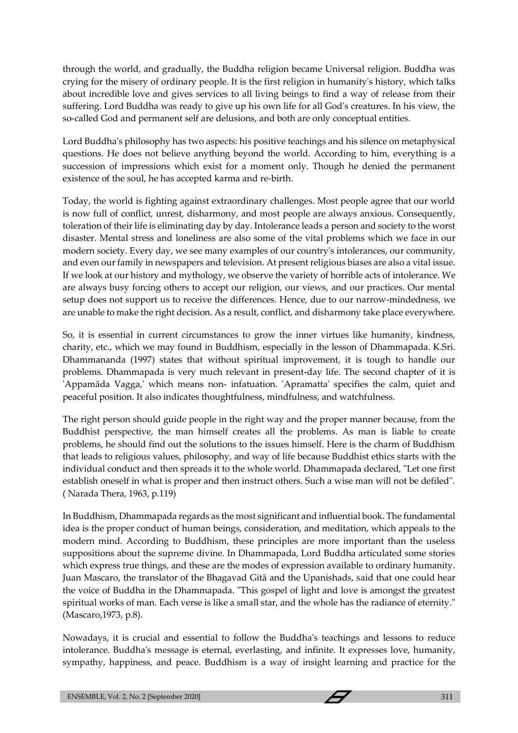through the world, and gradually, the Buddha religion became Universal religion. Buddha was crying for the misery of ordinary people. It is the first religion in humanity's history, which talks about incredible love and gives services to all living beings to find a way of release from their suffering. Lord Buddha was ready to give up his own life for all God's creatures. In his view, the so-called God and permanent self are delusions, and both are only conceptual entities.

Lord Buddha's philosophy has two aspects: his positive teachings and his silence on metaphysical questions. He does not believe anything beyond the world. According to him, everything is a succession of impressions which exist for a moment only. Though he denied the permanent existence of the soul, he has accepted karma and re-birth.

Today, the world is fighting against extraordinary challenges. Most people agree that our world is now full of conflict, unrest, disharmony, and most people are always anxious. Consequently, toleration of their life is eliminating day by day. Intolerance leads a person and society to the worst disaster. Mental stress and loneliness are also some of the vital problems which we face in our modern society. Every day, we see many examples of our country's intolerances, our community, and even our family in newspapers and television. At present religious biases are also a vital issue. If we look at our history and mythology, we observe the variety of horrible acts of intolerance. We are always busy forcing others to accept our religion, our views, and our practices. Our mental setup does not support us to receive the differences. Hence, due to our narrow-mindedness, we are unable to make the right decision. As a result, conflict, and disharmony take place everywhere.

So, it is essential in current circumstances to grow the inner virtues like humanity, kindness, charity, etc., which we may found in Buddhism, especially in the lesson of Dhammapada. K.Sri. Dhammananda (1997) states that without spiritual improvement, it is tough to handle our problems. Dhammapada is very much relevant in present-day life. The second chapter of it is 'Appamāda Vagga,' which means non- infatuation. 'Apramatta' specifies the calm, quiet and peaceful position. It also indicates thoughtfulness, mindfulness, and watchfulness.

The right person should guide people in the right way and the proper manner because, from the Buddhist perspective, the man himself creates all the problems. As man is liable to create problems, he should find out the solutions to the issues himself. Here is the charm of Buddhism that leads to religious values, philosophy, and way of life because Buddhist ethics starts with the individual conduct and then spreads it to the whole world. Dhammapada declared, "Let one first establish oneself in what is proper and then instruct others. Such a wise man will not be defiled". ( Narada Thera, 1963, p.119)

In Buddhism, Dhammapada regards as the most significant and influential book. The fundamental idea is the proper conduct of human beings, consideration, and meditation, which appeals to the modern mind. According to Buddhism, these principles are more important than the useless suppositions about the supreme divine. In Dhammapada, Lord Buddha articulated some stories which express true things, and these are the modes of expression available to ordinary humanity. Juan Mascaro, the translator of the Bhagavad Gitā and the Upanishads, said that one could hear the voice of Buddha in the Dhammapada. "This gospel of light and love is amongst the greatest spiritual works of man. Each verse is like a small star, and the whole has the radiance of eternity." (Mascaro,1973, p.8).

Nowadays, it is crucial and essential to follow the Buddha's teachings and lessons to reduce intolerance. Buddha's message is eternal, everlasting, and infinite. It expresses love, humanity, sympathy, happiness, and peace. Buddhism is a way of insight learning and practice for the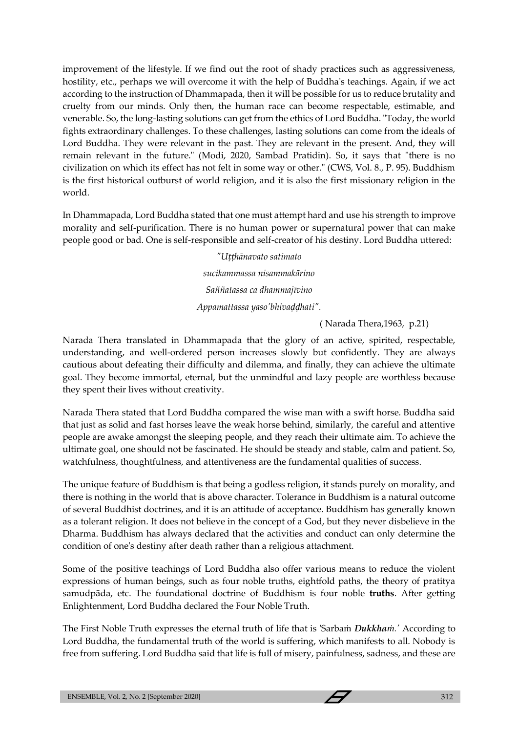improvement of the lifestyle. If we find out the root of shady practices such as aggressiveness, hostility, etc., perhaps we will overcome it with the help of Buddha's teachings. Again, if we act according to the instruction of Dhammapada, then it will be possible for us to reduce brutality and cruelty from our minds. Only then, the human race can become respectable, estimable, and venerable. So, the long-lasting solutions can get from the ethics of Lord Buddha. "Today, the world fights extraordinary challenges. To these challenges, lasting solutions can come from the ideals of Lord Buddha. They were relevant in the past. They are relevant in the present. And, they will remain relevant in the future." (Modi, 2020, Sambad Pratidin). So, it says that "there is no civilization on which its effect has not felt in some way or other." (CWS, Vol. 8., P. 95). Buddhism is the first historical outburst of world religion, and it is also the first missionary religion in the world.

In Dhammapada, Lord Buddha stated that one must attempt hard and use his strength to improve morality and self-purification. There is no human power or supernatural power that can make people good or bad. One is self-responsible and self-creator of his destiny. Lord Buddha uttered:

> *"Uṭṭhānavato satimato sucikammassa nisammakārino Saññatassa ca dhammajīvino Appamattassa yaso'bhivaḍḍhati".*

> > ( Narada Thera,1963, p.21)

Narada Thera translated in Dhammapada that the glory of an active, spirited, respectable, understanding, and well-ordered person increases slowly but confidently. They are always cautious about defeating their difficulty and dilemma, and finally, they can achieve the ultimate goal. They become immortal, eternal, but the unmindful and lazy people are worthless because they spent their lives without creativity.

Narada Thera stated that Lord Buddha compared the wise man with a swift horse. Buddha said that just as solid and fast horses leave the weak horse behind, similarly, the careful and attentive people are awake amongst the sleeping people, and they reach their ultimate aim. To achieve the ultimate goal, one should not be fascinated. He should be steady and stable, calm and patient. So, watchfulness, thoughtfulness, and attentiveness are the fundamental qualities of success.

The unique feature of Buddhism is that being a godless religion, it stands purely on morality, and there is nothing in the world that is above character. Tolerance in Buddhism is a natural outcome of several Buddhist doctrines, and it is an attitude of acceptance. Buddhism has generally known as a tolerant religion. It does not believe in the concept of a God, but they never disbelieve in the Dharma. Buddhism has always declared that the activities and conduct can only determine the condition of one's destiny after death rather than a religious attachment.

Some of the positive teachings of Lord Buddha also offer various means to reduce the violent expressions of human beings, such as four noble truths, eightfold paths, the theory of pratitya samudpāda, etc. The foundational doctrine of Buddhism is four noble **truths**. After getting Enlightenment, Lord Buddha declared the Four Noble Truth.

The First Noble Truth expresses the eternal truth of life that is 'Sarbaṁ *Dukkhaṁ.'* According to Lord Buddha, the fundamental truth of the world is suffering, which manifests to all. Nobody is free from suffering. Lord Buddha said that life is full of misery, painfulness, sadness, and these are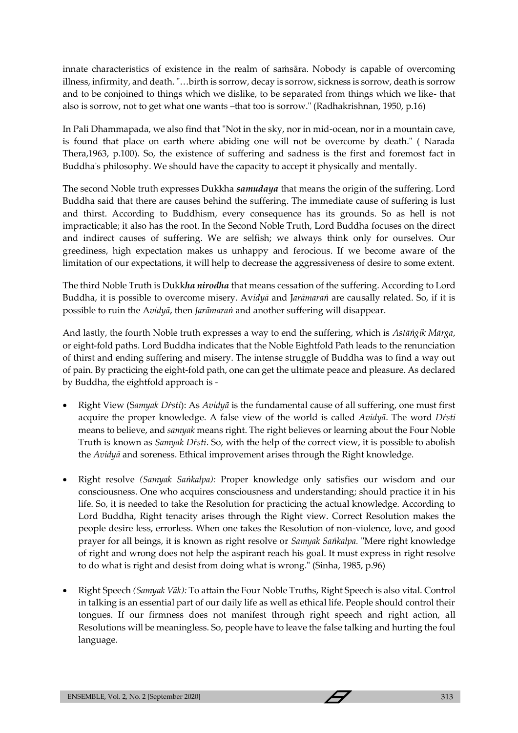innate characteristics of existence in the realm of saṁsāra. Nobody is capable of overcoming illness, infirmity, and death. "…birth is sorrow, decay is sorrow, sickness is sorrow, death is sorrow and to be conjoined to things which we dislike, to be separated from things which we like- that also is sorrow, not to get what one wants –that too is sorrow." (Radhakrishnan, 1950, p.16)

In Pali Dhammapada, we also find that "Not in the sky, nor in mid-ocean, nor in a mountain cave, is found that place on earth where abiding one will not be overcome by death." ( Narada Thera,1963, p.100). So, the existence of suffering and sadness is the first and foremost fact in Buddha's philosophy. We should have the capacity to accept it physically and mentally.

The second Noble truth expresses Dukkha *samudaya* that means the origin of the suffering. Lord Buddha said that there are causes behind the suffering. The immediate cause of suffering is lust and thirst. According to Buddhism, every consequence has its grounds. So as hell is not impracticable; it also has the root. In the Second Noble Truth, Lord Buddha focuses on the direct and indirect causes of suffering. We are selfish; we always think only for ourselves. Our greediness, high expectation makes us unhappy and ferocious. If we become aware of the limitation of our expectations, it will help to decrease the aggressiveness of desire to some extent.

The third Noble Truth is Dukk*ha nirodha* that means cessation of the suffering. According to Lord Buddha, it is possible to overcome misery. Av*idyā* and J*arāmaraṅ* are causally related. So, if it is possible to ruin the A*vidyā*, then *Jarāmaraṅ* and another suffering will disappear.

And lastly, the fourth Noble truth expresses a way to end the suffering, which is *Astāṅgik Mārga*, or eight-fold paths. Lord Buddha indicates that the Noble Eightfold Path leads to the renunciation of thirst and ending suffering and misery. The intense struggle of Buddha was to find a way out of pain. By practicing the eight-fold path, one can get the ultimate peace and pleasure. As declared by Buddha, the eightfold approach is -

- Right View (S*amyak Dṙsti*): As *Avidyā* is the fundamental cause of all suffering, one must first acquire the proper knowledge. A false view of the world is called *Avidyā*. The word *Dṙsti* means to believe, and *samyak* means right. The right believes or learning about the Four Noble Truth is known as *Samyak Dṙsti*. So, with the help of the correct view, it is possible to abolish the *Avidyā* and soreness. Ethical improvement arises through the Right knowledge.
- Right resolve *(Samyak Saṅkalpa):* Proper knowledge only satisfies our wisdom and our consciousness. One who acquires consciousness and understanding; should practice it in his life. So, it is needed to take the Resolution for practicing the actual knowledge. According to Lord Buddha, Right tenacity arises through the Right view. Correct Resolution makes the people desire less, errorless. When one takes the Resolution of non-violence, love, and good prayer for all beings, it is known as right resolve or *Samyak Saṅkalpa.* "Mere right knowledge of right and wrong does not help the aspirant reach his goal. It must express in right resolve to do what is right and desist from doing what is wrong." (Sinha, 1985, p.96)
- Right Speech *(Samyak Vāk):* To attain the Four Noble Truths, Right Speech is also vital. Control in talking is an essential part of our daily life as well as ethical life. People should control their tongues. If our firmness does not manifest through right speech and right action, all Resolutions will be meaningless. So, people have to leave the false talking and hurting the foul language.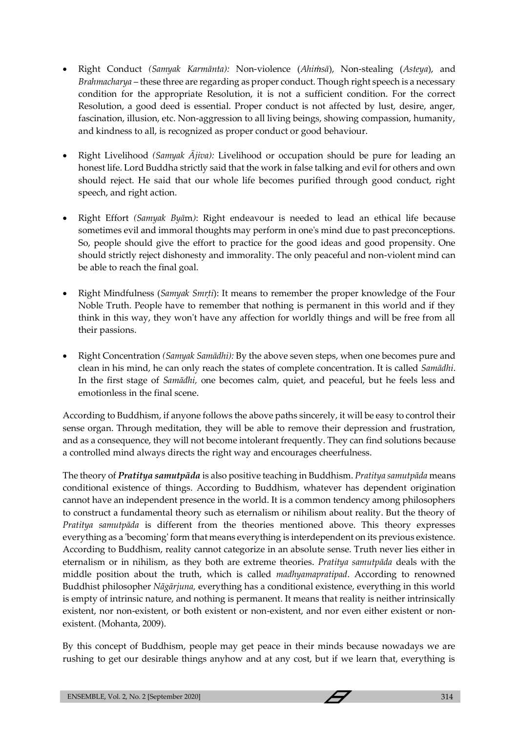- Right Conduct *(Samyak Karmānta):* Non-violence (*Ahiṁsā*), Non-stealing (*Asteya*), and *Brahmacharya* – these three are regarding as proper conduct. Though right speech is a necessary condition for the appropriate Resolution, it is not a sufficient condition. For the correct Resolution, a good deed is essential. Proper conduct is not affected by lust, desire, anger, fascination, illusion, etc. Non-aggression to all living beings, showing compassion, humanity, and kindness to all, is recognized as proper conduct or good behaviour.
- Right Livelihood *(Samyak Ājiva):* Livelihood or occupation should be pure for leading an honest life. Lord Buddha strictly said that the work in false talking and evil for others and own should reject. He said that our whole life becomes purified through good conduct, right speech, and right action.
- Right Effort *(Samyak Byā*m*)*: Right endeavour is needed to lead an ethical life because sometimes evil and immoral thoughts may perform in one's mind due to past preconceptions. So, people should give the effort to practice for the good ideas and good propensity. One should strictly reject dishonesty and immorality. The only peaceful and non-violent mind can be able to reach the final goal.
- Right Mindfulness (*Samyak Smr*<sup>ti</sup>): It means to remember the proper knowledge of the Four Noble Truth. People have to remember that nothing is permanent in this world and if they think in this way, they won't have any affection for worldly things and will be free from all their passions.
- Right Concentration *(Samyak Samādhi):* By the above seven steps, when one becomes pure and clean in his mind, he can only reach the states of complete concentration. It is called *Samādhi*. In the first stage of *Samādhi,* one becomes calm, quiet, and peaceful, but he feels less and emotionless in the final scene.

According to Buddhism, if anyone follows the above paths sincerely, it will be easy to control their sense organ. Through meditation, they will be able to remove their depression and frustration, and as a consequence, they will not become intolerant frequently. They can find solutions because a controlled mind always directs the right way and encourages cheerfulness.

The theory of *Pratitya samutpāda* is also positive teaching in Buddhism. *Pratitya samutpāda* means conditional existence of things. According to Buddhism, whatever has dependent origination cannot have an independent presence in the world. It is a common tendency among philosophers to construct a fundamental theory such as eternalism or nihilism about reality. But the theory of *Pratitya samutpāda* is different from the theories mentioned above. This theory expresses everything as a 'becoming' form that means everything is interdependent on its previous existence. According to Buddhism, reality cannot categorize in an absolute sense. Truth never lies either in eternalism or in nihilism, as they both are extreme theories. *Pratitya samutpāda* deals with the middle position about the truth, which is called *madhyamapratipad*. According to renowned Buddhist philosopher *Nāgārjuna,* everything has a conditional existence, everything in this world is empty of intrinsic nature, and nothing is permanent. It means that reality is neither intrinsically existent, nor non-existent, or both existent or non-existent, and nor even either existent or nonexistent. (Mohanta, 2009).

By this concept of Buddhism, people may get peace in their minds because nowadays we are rushing to get our desirable things anyhow and at any cost, but if we learn that, everything is